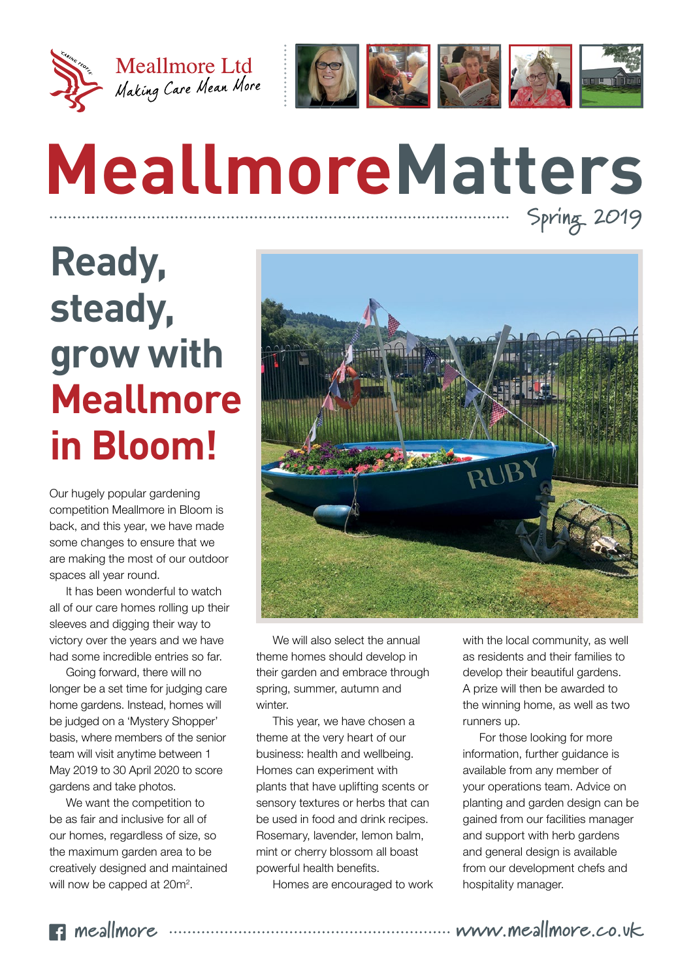



# **MeallmoreMatters Spring 2019**

# **Ready, steady, grow with Meallmore in Bloom!**

Our hugely popular gardening competition Meallmore in Bloom is back, and this year, we have made some changes to ensure that we are making the most of our outdoor spaces all year round.

It has been wonderful to watch all of our care homes rolling up their sleeves and digging their way to victory over the years and we have had some incredible entries so far.

Going forward, there will no longer be a set time for judging care home gardens. Instead, homes will be judged on a 'Mystery Shopper' basis, where members of the senior team will visit anytime between 1 May 2019 to 30 April 2020 to score gardens and take photos.

We want the competition to be as fair and inclusive for all of our homes, regardless of size, so the maximum garden area to be creatively designed and maintained will now be capped at 20m<sup>2</sup>.



We will also select the annual theme homes should develop in their garden and embrace through spring, summer, autumn and winter.

This year, we have chosen a theme at the very heart of our business: health and wellbeing. Homes can experiment with plants that have uplifting scents or sensory textures or herbs that can be used in food and drink recipes. Rosemary, lavender, lemon balm, mint or cherry blossom all boast powerful health benefits.

Homes are encouraged to work

with the local community, as well as residents and their families to develop their beautiful gardens. A prize will then be awarded to the winning home, as well as two runners up.

For those looking for more information, further guidance is available from any member of your operations team. Advice on planting and garden design can be gained from our facilities manager and support with herb gardens and general design is available from our development chefs and hospitality manager.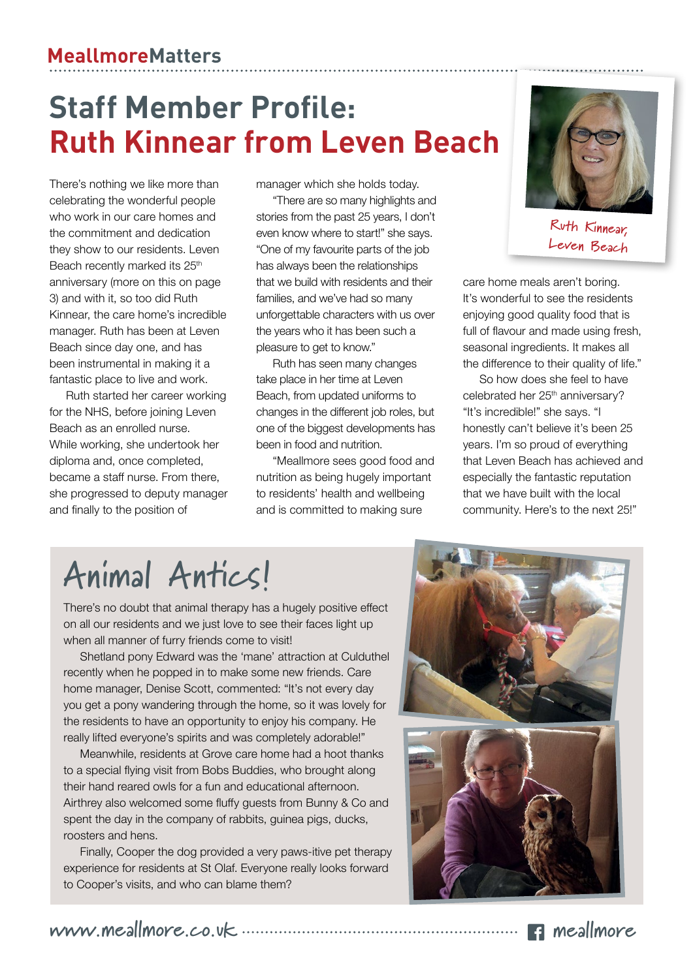### **Staff Member Profile: Ruth Kinnear from Leven Beach**

There's nothing we like more than celebrating the wonderful people who work in our care homes and the commitment and dedication they show to our residents. Leven Beach recently marked its 25<sup>th</sup> anniversary (more on this on page 3) and with it, so too did Ruth Kinnear, the care home's incredible manager. Ruth has been at Leven Beach since day one, and has been instrumental in making it a fantastic place to live and work.

Ruth started her career working for the NHS, before joining Leven Beach as an enrolled nurse. While working, she undertook her diploma and, once completed, became a staff nurse. From there, she progressed to deputy manager and finally to the position of

manager which she holds today.

"There are so many highlights and stories from the past 25 years, I don't even know where to start!" she says. "One of my favourite parts of the job has always been the relationships that we build with residents and their families, and we've had so many unforgettable characters with us over the years who it has been such a pleasure to get to know."

Ruth has seen many changes take place in her time at Leven Beach, from updated uniforms to changes in the different job roles, but one of the biggest developments has been in food and nutrition.

"Meallmore sees good food and nutrition as being hugely important to residents' health and wellbeing and is committed to making sure



**Ruth Kinnear, Leven Beach**

care home meals aren't boring. It's wonderful to see the residents enjoying good quality food that is full of flavour and made using fresh, seasonal ingredients. It makes all the difference to their quality of life."

So how does she feel to have celebrated her 25<sup>th</sup> anniversary? "It's incredible!" she says. "I honestly can't believe it's been 25 years. I'm so proud of everything that Leven Beach has achieved and especially the fantastic reputation that we have built with the local community. Here's to the next 25!"

## **Animal Antics!**

There's no doubt that animal therapy has a hugely positive effect on all our residents and we just love to see their faces light up when all manner of furry friends come to visit!

Shetland pony Edward was the 'mane' attraction at Culduthel recently when he popped in to make some new friends. Care home manager, Denise Scott, commented: "It's not every day you get a pony wandering through the home, so it was lovely for the residents to have an opportunity to enjoy his company. He really lifted everyone's spirits and was completely adorable!"

Meanwhile, residents at Grove care home had a hoot thanks to a special flying visit from Bobs Buddies, who brought along their hand reared owls for a fun and educational afternoon. Airthrey also welcomed some fluffy guests from Bunny & Co and spent the day in the company of rabbits, guinea pigs, ducks, roosters and hens.

Finally, Cooper the dog provided a very paws-itive pet therapy experience for residents at St Olaf. Everyone really looks forward to Cooper's visits, and who can blame them?



**www.meallmore.co.uk meallmore**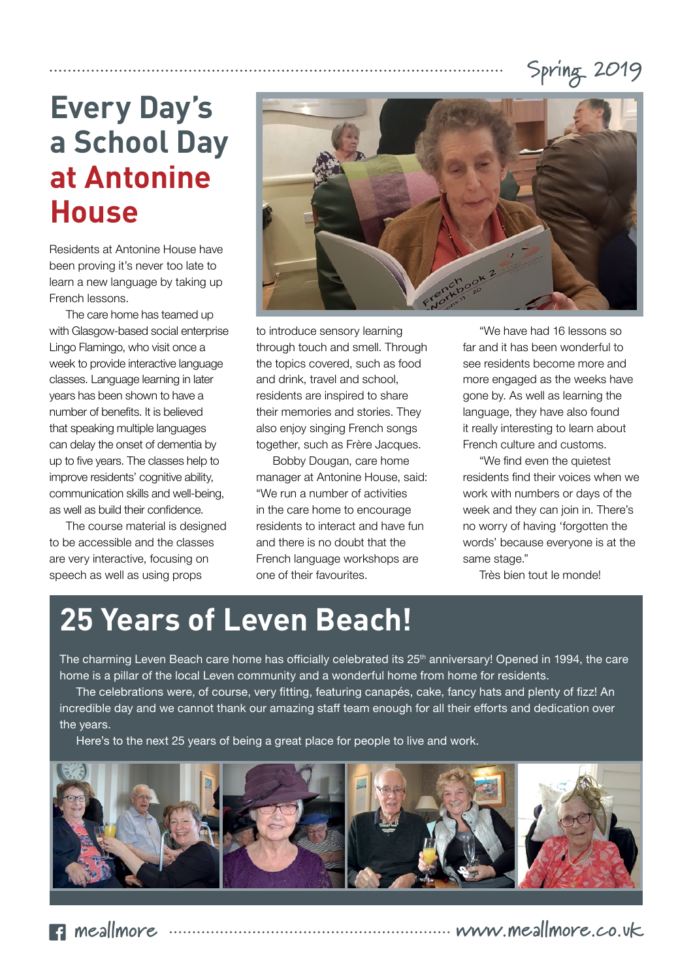#### **Spring 2019**

### **Every Day's a School Day at Antonine House**

Residents at Antonine House have been proving it's never too late to learn a new language by taking up French lessons.

The care home has teamed up with Glasgow-based social enterprise Lingo Flamingo, who visit once a week to provide interactive language classes. Language learning in later years has been shown to have a number of benefits. It is believed that speaking multiple languages can delay the onset of dementia by up to five years. The classes help to improve residents' cognitive ability, communication skills and well-being, as well as build their confidence.

The course material is designed to be accessible and the classes are very interactive, focusing on speech as well as using props



to introduce sensory learning through touch and smell. Through the topics covered, such as food and drink, travel and school, residents are inspired to share their memories and stories. They also enjoy singing French songs together, such as Frère Jacques.

Bobby Dougan, care home manager at Antonine House, said: "We run a number of activities in the care home to encourage residents to interact and have fun and there is no doubt that the French language workshops are one of their favourites.

"We have had 16 lessons so far and it has been wonderful to see residents become more and more engaged as the weeks have gone by. As well as learning the language, they have also found it really interesting to learn about French culture and customs.

"We find even the quietest residents find their voices when we work with numbers or days of the week and they can join in. There's no worry of having 'forgotten the words' because everyone is at the same stage."

Très bien tout le monde!

#### **25 Years of Leven Beach!**

The charming Leven Beach care home has officially celebrated its 25<sup>th</sup> anniversary! Opened in 1994, the care home is a pillar of the local Leven community and a wonderful home from home for residents.

The celebrations were, of course, very fitting, featuring canapés, cake, fancy hats and plenty of fizz! An incredible day and we cannot thank our amazing staff team enough for all their efforts and dedication over the years.

Here's to the next 25 years of being a great place for people to live and work.